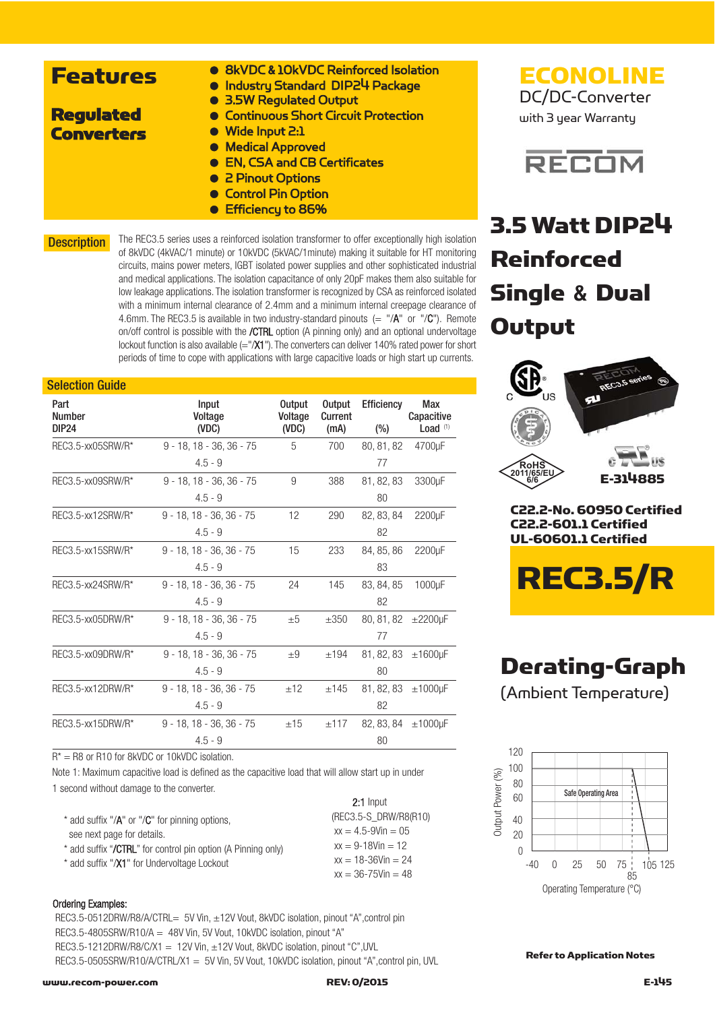| <b>. 8kVDC &amp; 10kVDC Reinforced Isolation</b><br><b>• Industry Standard DIP24 Package</b> |
|----------------------------------------------------------------------------------------------|
| • 3.5W Regulated Output                                                                      |
| • Continuous Short Circuit Protection                                                        |
| ● Wide Input 2:1                                                                             |
| • Medical Approved                                                                           |
| • EN, CSA and CB Certificates                                                                |
| • 2 Pinout Options                                                                           |
| <b>Control Pin Option</b>                                                                    |
|                                                                                              |

● Efficiency to 86%

**Description** 

The REC3.5 series uses a reinforced isolation transformer to offer exceptionally high isolation of 8kVDC (4kVAC/1 minute) or 10kVDC (5kVAC/1minute) making it suitable for HT monitoring circuits, mains power meters, IGBT isolated power supplies and other sophisticated industrial and medical applications. The isolation capacitance of only 20pF makes them also suitable for low leakage applications. The isolation transformer is recognized by CSA as reinforced isolated with a minimum internal clearance of 2.4mm and a minimum internal creepage clearance of 4.6mm. The REC3.5 is available in two industry-standard pinouts  $(=$  "/A" or "/C"). Remote on/off control is possible with the /CTRL option (A pinning only) and an optional undervoltage lockout function is also available  $(=''/X1'')$ . The converters can deliver 140% rated power for short periods of time to cope with applications with large capacitive loads or high start up currents.

#### Selection Guide

| Part<br><b>Number</b><br><b>DIP24</b> | Input<br>Voltage<br>(VDC)                                                                                                 | <b>Output</b><br>Voltage<br>(VDC) | <b>Output</b><br>Current<br>(mA) | <b>Efficiency</b><br>$(\%)$ | Max<br>Capacitive<br>Load <sup>(1)</sup> |
|---------------------------------------|---------------------------------------------------------------------------------------------------------------------------|-----------------------------------|----------------------------------|-----------------------------|------------------------------------------|
| REC3.5-xx05SRW/R*                     | $9 - 18$ , $18 - 36$ , $36 - 75$                                                                                          | 5                                 | 700                              | 80, 81, 82                  | 4700uF                                   |
|                                       | $4.5 - 9$                                                                                                                 |                                   |                                  | 77                          |                                          |
| REC3.5-xx09SRW/R*                     | $9 - 18$ , $18 - 36$ , $36 - 75$                                                                                          | 9                                 | 388                              | 81, 82, 83                  | 3300µF                                   |
|                                       | $4.5 - 9$                                                                                                                 |                                   |                                  | 80                          |                                          |
| REC3.5-xx12SRW/R*                     | 9 - 18, 18 - 36, 36 - 75                                                                                                  | 12                                | 290                              | 82, 83, 84                  | 2200µF                                   |
|                                       | $4.5 - 9$                                                                                                                 |                                   |                                  | 82                          |                                          |
| REC3.5-xx15SRW/R*                     | $9 - 18$ , $18 - 36$ , $36 - 75$                                                                                          | 15                                | 233                              | 84, 85, 86                  | 2200µF                                   |
|                                       | $4.5 - 9$                                                                                                                 |                                   |                                  | 83                          |                                          |
| REC3.5-xx24SRW/R*                     | $9 - 18$ , $18 - 36$ , $36 - 75$                                                                                          | 24                                | 145                              | 83, 84, 85                  | 1000µF                                   |
|                                       | $4.5 - 9$                                                                                                                 |                                   |                                  | 82                          |                                          |
| REC3.5-xx05DRW/R*                     | $9 - 18$ , $18 - 36$ , $36 - 75$                                                                                          | ±5                                | $\pm 350$                        | 80, 81, 82 ± 2200µF         |                                          |
|                                       | $4.5 - 9$                                                                                                                 |                                   |                                  | 77                          |                                          |
| REC3.5-xx09DRW/R*                     | $9 - 18$ , $18 - 36$ , $36 - 75$                                                                                          | $\pm 9$                           | ±194                             | 81, 82, 83 ±1600µF          |                                          |
|                                       | $4.5 - 9$                                                                                                                 |                                   |                                  | 80                          |                                          |
| REC3.5-xx12DRW/R*                     | $9 - 18$ , $18 - 36$ , $36 - 75$                                                                                          | ±12                               | ±145                             | 81, 82, 83                  | $±1000$ µF                               |
|                                       | $4.5 - 9$                                                                                                                 |                                   |                                  | 82                          |                                          |
| REC3.5-xx15DRW/R*                     | $9 - 18$ , $18 - 36$ , $36 - 75$                                                                                          | ±15                               | ±117                             | 82, 83, 84 ±1000µF          |                                          |
|                                       | $4.5 - 9$                                                                                                                 |                                   |                                  | 80                          |                                          |
| n*                                    | $DA \sim \text{D4} \wedge \text{f}_{\text{out}} \Omega (M \cap \Omega_{\text{out}} + \Omega (M \cap \Omega_{\text{in}}))$ |                                   |                                  |                             |                                          |

 $R^* = R8$  or R10 for 8kVDC or 10kVDC isolation.

Note 1: Maximum capacitive load is defined as the capacitive load that will allow start up in under 1 second without damage to the converter. 20. Input

|                                                                                        | Z: I Input                                       |
|----------------------------------------------------------------------------------------|--------------------------------------------------|
| $*$ add suffix "/ $A$ " or "/ $C$ " for pinning options,<br>see next page for details. | (REC3.5-S DRW/R8(R10)<br>$xx = 4.5 - 9V$ in = 05 |
| * add suffix " <b>/CTRL</b> " for control pin option (A Pinning only)                  | $xx = 9 - 18$ Vin = 12                           |
| * add suffix "/X1" for Undervoltage Lockout                                            | $xx = 18 - 36$ Vin = 24                          |
|                                                                                        | $xx = 36 - 75$ Vin = 48                          |

#### Ordering Examples:

REC3.5-0512DRW/R8/A/CTRL= 5V Vin, ±12V Vout, 8kVDC isolation, pinout "A",control pin REC3.5-4805SRW/R10/A = 48V Vin, 5V Vout, 10kVDC isolation, pinout "A" REC3.5-1212DRW/R8/C/X1 = 12V Vin, ±12V Vout, 8kVDC isolation, pinout "C", UVL REC3.5-0505SRW/R10/A/CTRL/X1 = 5V Vin, 5V Vout, 10kVDC isolation, pinout "A", control pin, UVL

#### www.recom-power.com REV: 0/2015 E-145

### ECONOLINE DC/DC-Converter

with 3 year Warranty



## 3.5 Watt DIP24 Reinforced Single **&** Dual **Output**



C22.2-601.1 Certified UL-60601.1 Certified



### Derating-Graph

(Ambient Temperature)



Refer to Application Notes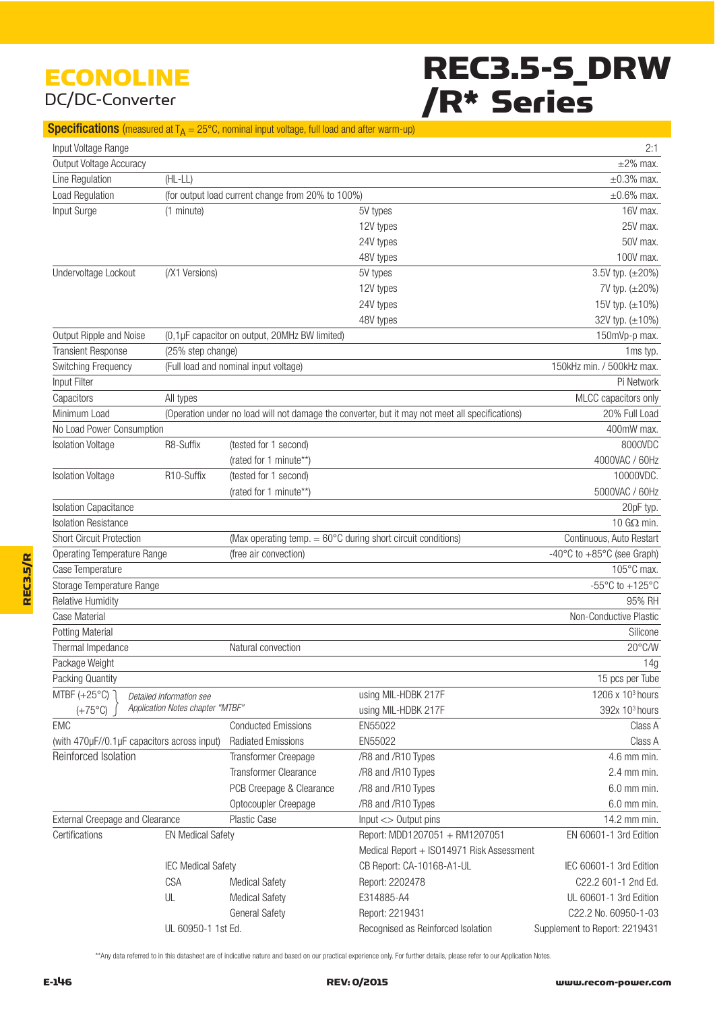### ECONOLINE DC/DC-Converter

# REC3.5-S\_DRW /R\* Series

#### **Specifications** (measured at  $T_A = 25^{\circ}$ C, nominal input voltage, full load and after warm-up)

| Input Voltage Range                         |                                  |                                                                        |                                                                                                 | 2:1                                                   |
|---------------------------------------------|----------------------------------|------------------------------------------------------------------------|-------------------------------------------------------------------------------------------------|-------------------------------------------------------|
| Output Voltage Accuracy                     |                                  |                                                                        |                                                                                                 | $\pm 2\%$ max.                                        |
| Line Regulation                             | $(HL-LL)$                        |                                                                        |                                                                                                 | $\pm 0.3\%$ max.                                      |
| Load Regulation                             |                                  | (for output load current change from 20% to 100%)                      |                                                                                                 | $\pm 0.6\%$ max.                                      |
| Input Surge                                 | (1 minute)                       |                                                                        | 5V types                                                                                        | 16V max.                                              |
|                                             |                                  |                                                                        | 12V types                                                                                       | 25V max.                                              |
|                                             |                                  |                                                                        | 24V types                                                                                       | 50V max.                                              |
|                                             |                                  |                                                                        | 48V types                                                                                       | 100V max.                                             |
| Undervoltage Lockout                        | (/X1 Versions)                   |                                                                        | 5V types                                                                                        | 3.5V typ. (±20%)                                      |
|                                             |                                  |                                                                        | 12V types                                                                                       | 7V typ. (±20%)                                        |
|                                             |                                  |                                                                        | 24V types                                                                                       | 15V typ. (±10%)                                       |
|                                             |                                  |                                                                        | 48V types                                                                                       | 32V typ. (±10%)                                       |
| Output Ripple and Noise                     |                                  | (0,1µF capacitor on output, 20MHz BW limited)                          |                                                                                                 | 150mVp-p max.                                         |
| <b>Transient Response</b>                   | (25% step change)                |                                                                        |                                                                                                 | 1ms typ.                                              |
| Switching Frequency                         |                                  | (Full load and nominal input voltage)                                  |                                                                                                 | 150kHz min. / 500kHz max.                             |
| Input Filter                                |                                  |                                                                        |                                                                                                 | Pi Network                                            |
| Capacitors                                  | All types                        |                                                                        |                                                                                                 | MLCC capacitors only                                  |
| Minimum Load                                |                                  |                                                                        | (Operation under no load will not damage the converter, but it may not meet all specifications) | 20% Full Load                                         |
| No Load Power Consumption                   |                                  |                                                                        |                                                                                                 | 400mW max.                                            |
| <b>Isolation Voltage</b>                    | R8-Suffix                        | (tested for 1 second)                                                  |                                                                                                 | 8000VDC                                               |
|                                             |                                  | (rated for 1 minute**)                                                 |                                                                                                 | 4000VAC / 60Hz                                        |
| <b>Isolation Voltage</b>                    | R10-Suffix                       | (tested for 1 second)                                                  |                                                                                                 | 10000VDC.                                             |
|                                             |                                  | (rated for 1 minute**)                                                 |                                                                                                 | 5000VAC / 60Hz                                        |
| <b>Isolation Capacitance</b>                |                                  |                                                                        |                                                                                                 | 20pF typ.                                             |
| <b>Isolation Resistance</b>                 |                                  |                                                                        |                                                                                                 | 10 G $\Omega$ min.                                    |
| <b>Short Circuit Protection</b>             |                                  | (Max operating temp. $= 60^{\circ}$ C during short circuit conditions) |                                                                                                 | Continuous, Auto Restart                              |
| Operating Temperature Range                 |                                  | (free air convection)                                                  |                                                                                                 | -40 $\degree$ C to +85 $\degree$ C (see Graph)        |
| Case Temperature                            |                                  |                                                                        |                                                                                                 | 105°C max.                                            |
| Storage Temperature Range                   |                                  |                                                                        |                                                                                                 | -55 $\mathrm{^{\circ}C}$ to +125 $\mathrm{^{\circ}C}$ |
| <b>Relative Humidity</b>                    |                                  |                                                                        |                                                                                                 | 95% RH                                                |
| Case Material                               |                                  |                                                                        |                                                                                                 | Non-Conductive Plastic                                |
| <b>Potting Material</b>                     |                                  |                                                                        |                                                                                                 | Silicone                                              |
| Thermal Impedance                           |                                  | Natural convection                                                     |                                                                                                 | 20°C/W                                                |
| Package Weight                              |                                  |                                                                        |                                                                                                 | 14g                                                   |
| Packing Quantity                            |                                  |                                                                        |                                                                                                 | 15 pcs per Tube                                       |
| MTBF $(+25^{\circ}C)$                       | Detailed Information see         |                                                                        | using MIL-HDBK 217F                                                                             | 1206 x 10 <sup>3</sup> hours                          |
| $(+75^{\circ}C)$                            | Application Notes chapter "MTBF" |                                                                        | using MIL-HDBK 217F                                                                             | 392x 10 <sup>3</sup> hours                            |
| <b>EMC</b>                                  |                                  | <b>Conducted Emissions</b>                                             | EN55022                                                                                         | Class A                                               |
| (with 470µF//0.1µF capacitors across input) |                                  | <b>Radiated Emissions</b>                                              | EN55022                                                                                         | Class A                                               |
| Reinforced Isolation                        |                                  | Transformer Creepage                                                   | /R8 and /R10 Types                                                                              | 4.6 mm min.                                           |
|                                             |                                  | <b>Transformer Clearance</b>                                           | /R8 and /R10 Types                                                                              | $2.4$ mm min.                                         |
|                                             |                                  | PCB Creepage & Clearance                                               | /R8 and /R10 Types                                                                              | 6.0 mm min.                                           |
|                                             |                                  | Optocoupler Creepage                                                   | /R8 and /R10 Types                                                                              | 6.0 mm min.                                           |
| External Creepage and Clearance             |                                  | Plastic Case                                                           | $Input <$ Output pins                                                                           | 14.2 mm min.                                          |
| Certifications                              | <b>EN Medical Safety</b>         |                                                                        | Report: MDD1207051 + RM1207051                                                                  | EN 60601-1 3rd Edition                                |
|                                             |                                  |                                                                        | Medical Report + ISO14971 Risk Assessment                                                       |                                                       |
|                                             | <b>IEC Medical Safety</b>        |                                                                        | CB Report: CA-10168-A1-UL                                                                       | IEC 60601-1 3rd Edition                               |
|                                             | <b>CSA</b>                       | <b>Medical Safety</b>                                                  | Report: 2202478                                                                                 | C22.2 601-1 2nd Ed.                                   |
|                                             | UL                               | <b>Medical Safety</b>                                                  | E314885-A4                                                                                      | UL 60601-1 3rd Edition                                |
|                                             |                                  | <b>General Safety</b>                                                  | Report: 2219431                                                                                 | C22.2 No. 60950-1-03                                  |
|                                             | UL 60950-1 1st Ed.               |                                                                        | Recognised as Reinforced Isolation                                                              | Supplement to Report: 2219431                         |

\*\*Any data referred to in this datasheet are of indicative nature and based on our practical experience only. For further details, please refer to our Application Notes.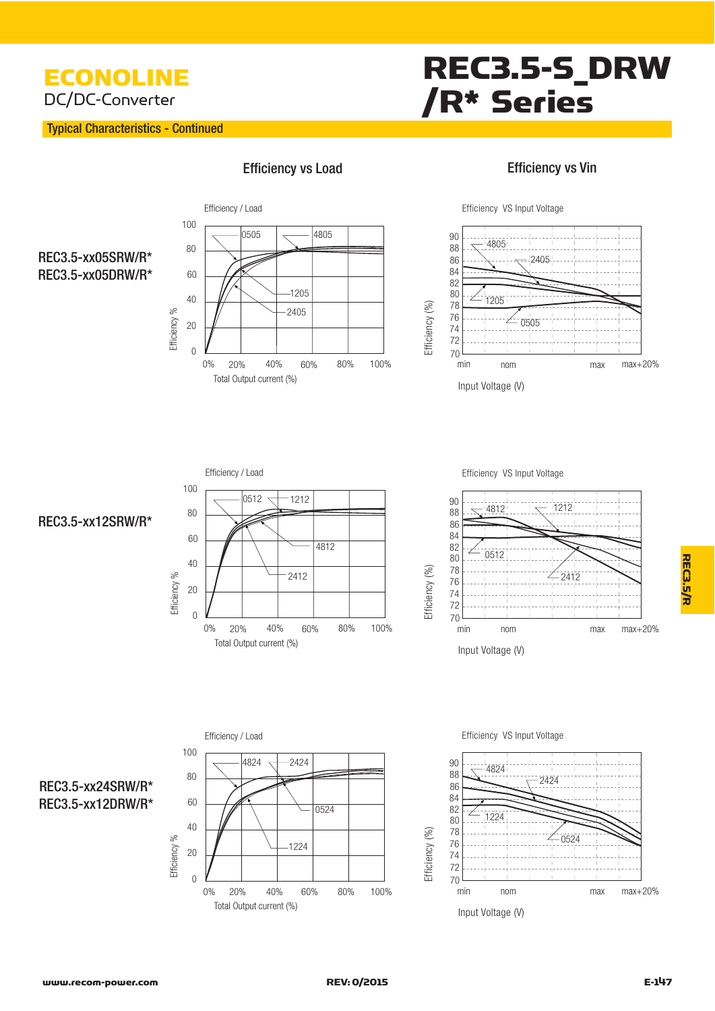### ECONOLINE DC/DC-Converter

#### Typical Characteristics - Continued

Efficie  $ncy$  %

 $\overline{0}$ 

20

# REC3.5-S\_DRW /R\* Series



0% 20% 40% 60% 80% 100%

 $-2405$ 

20% 40% 60% 80%

Total Output current (%)

#### Efficiency vs Vin



### REC3.5-xx05SRW/R\* REC3.5-xx05DRW/R\*



Efficiency VS Input Voltage



#### REC3.5-xx12SRW/R\*